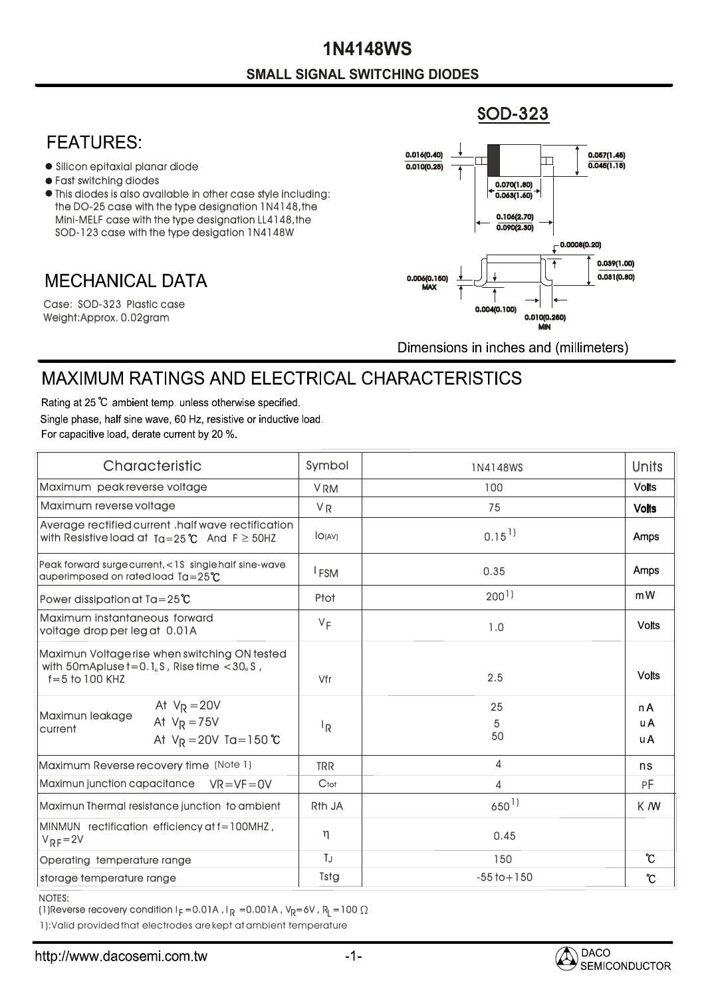### **SMALL SIGNAL SWITCHING DIODES 1N4148WS**

#### SOD-323

### **FEATURES:**

- Silicon epitaxial planar diode
- Fast switching diodes
- This diodes is also available in other case style including: the DO-25 case with the type designation 1N4148,the Mini-MELF case with the type designation LL4148,the SOD-123 case with the type desigation 1N4148W

## **MECHANICAL DATA**

Weight:Approx. 0.02gram Case: SOD-323 Plastic case



Dimensions in inches and (millimeters)

# **MAXIMUM RATINGS AND ELECTRICAL CHARACTERISTICS**

Rating at 25 °C ambient temp. unless otherwise specified. Single phase, half sine wave, 60 Hz, resistive or inductive load. For capacitive load, derate current by 20 %.

| Characteristic                                                                                                                                     | Symbol                  | 1N4148WS            | Units             |
|----------------------------------------------------------------------------------------------------------------------------------------------------|-------------------------|---------------------|-------------------|
| Maximum peak reverse voltage                                                                                                                       | <b>VRM</b>              | 100                 | <b>Volts</b>      |
| Maximum reverse voltage                                                                                                                            | <b>VR</b>               | 75                  | <b>Volts</b>      |
| Average rectified current .half wave rectification<br>with Resistive load at $Ta = 25^{\circ}C$ And $F \geq 50$ HZ                                 | IO(AV)                  | $0.15$ <sup>1</sup> | Amps              |
| Peak forward surgecurrent, <1S singlehalf sine-wave<br>auperimposed on rated load $Ta = 25^{\circ}C$                                               | <sup>I</sup> FSM        | 0.35                | Amps              |
| Power dissipation at $Ta = 25^{\circ}C$                                                                                                            | Ptot                    | 200 <sup>1</sup>    | mW                |
| Maximum instantaneous forward<br>voltage drop per leg at 0.01A                                                                                     | $V_F$                   | 1.0                 | <b>Volts</b>      |
| Maximun Voltage rise when switching ON tested<br>with 50 m Apluse $t = 0.1$ <sub>u</sub> S, Rise time $< 30$ <sub>u</sub> S,<br>$f = 5$ to 100 KHZ | Vfr                     | 2.5                 | <b>Volts</b>      |
| At $V_R = 20V$<br>Maximun leakage<br>At $V_R = 75V$<br>current<br>At $V_R = 20V$ Ta = 150 °C                                                       | $\mathsf{I}_\mathsf{R}$ | 25<br>5<br>50       | n A<br>u A<br>u A |
| Maximum Reverse recovery time (Note 1)                                                                                                             | <b>TRR</b>              | 4                   | ns                |
| Maximun junction capacitance $VR = VF = 0V$                                                                                                        | Ctot                    | 4                   | РF                |
| Maximun Thermal resistance junction to ambient                                                                                                     | R <sub>th</sub> JA      | $650^{1}$           | K M               |
| MINMUN rectification efficiency at f=100MHZ,<br>$V_{RF} = 2V$                                                                                      | η                       | 0.45                |                   |
| Operating temperature range                                                                                                                        | TJ                      | 150                 | $\mathcal{C}$     |
| storage temperature range                                                                                                                          | Tstg                    | $-55$ to $+150$     | $\rm ^{\circ}\!C$ |

NOTES:

(1)Reverse recovery condition I $_{\mathsf{F}}$  =0.01A , I $_{\mathsf{R}}$  =0.001A , V $_{\mathsf{R}}$ =6V , R $_{\mathsf{L}}$  =100

1):Valid provided that electrodes are kept at ambient temperature

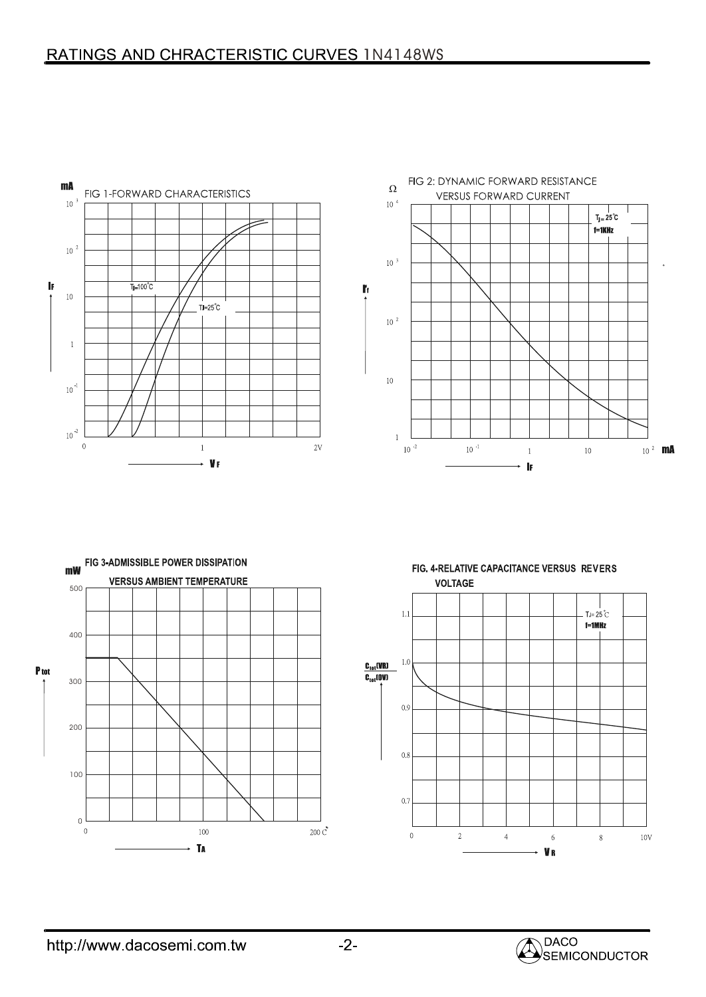



FIG. 4-RELATIVE CAPACITANCE VERSUS REVERS **VOLTAGE**